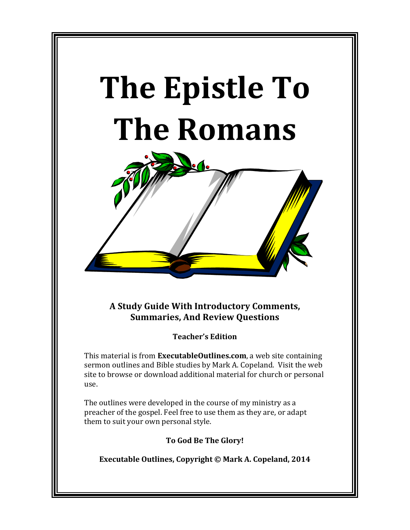# **The Epistle To The Romans**



**A Study Guide With Introductory Comments, Summaries, And Review Ouestions** 

**Teacher's Edition**

This material is from **ExecutableOutlines.com**, a web site containing sermon outlines and Bible studies by Mark A. Copeland. Visit the web site to browse or download additional material for church or personal use.

The outlines were developed in the course of my ministry as a preacher of the gospel. Feel free to use them as they are, or adapt them to suit your own personal style.

**To God Be The Glory!**

Executable Outlines, Copyright © Mark A. Copeland, 2014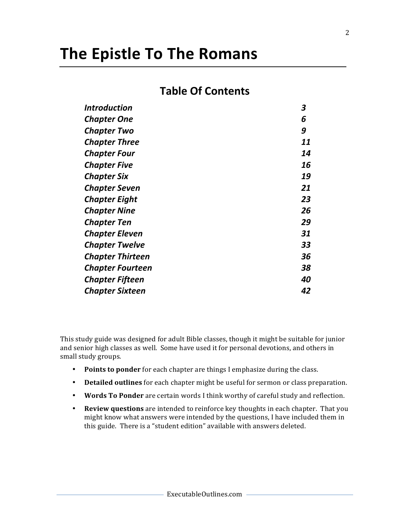## **The Epistle To The Romans**

### **Table Of Contents**

| <b>Introduction</b>     | 3  |
|-------------------------|----|
| <b>Chapter One</b>      | 6  |
| <b>Chapter Two</b>      | 9  |
| <b>Chapter Three</b>    | 11 |
| <b>Chapter Four</b>     | 14 |
| <b>Chapter Five</b>     | 16 |
| <b>Chapter Six</b>      | 19 |
| <b>Chapter Seven</b>    | 21 |
| <b>Chapter Eight</b>    | 23 |
| <b>Chapter Nine</b>     | 26 |
| <b>Chapter Ten</b>      | 29 |
| <b>Chapter Eleven</b>   | 31 |
| <b>Chapter Twelve</b>   | 33 |
| <b>Chapter Thirteen</b> | 36 |
| <b>Chapter Fourteen</b> | 38 |
| Chapter Fifteen         | 40 |
| <b>Chapter Sixteen</b>  | 42 |

This study guide was designed for adult Bible classes, though it might be suitable for junior and senior high classes as well. Some have used it for personal devotions, and others in small study groups.

- Points to ponder for each chapter are things I emphasize during the class.
- Detailed outlines for each chapter might be useful for sermon or class preparation.
- Words To Ponder are certain words I think worthy of careful study and reflection.
- Review questions are intended to reinforce key thoughts in each chapter. That you might know what answers were intended by the questions, I have included them in this guide. There is a "student edition" available with answers deleted.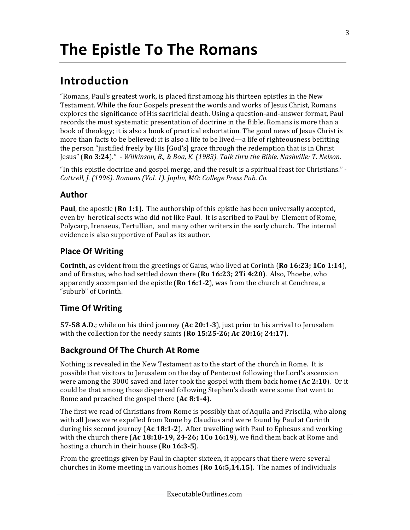### **Introduction**

"Romans, Paul's greatest work, is placed first among his thirteen epistles in the New Testament. While the four Gospels present the words and works of Jesus Christ, Romans explores the significance of His sacrificial death. Using a question-and-answer format, Paul records the most systematic presentation of doctrine in the Bible. Romans is more than a book of theology; it is also a book of practical exhortation. The good news of Jesus Christ is more than facts to be believed; it is also a life to be lived—a life of righteousness befitting the person "justified freely by His [God's] grace through the redemption that is in Christ Jesus" (Ro 3:24)." *- Wilkinson, B., & Boa, K. (1983). Talk thru the Bible. Nashville: T. Nelson.* 

"In this epistle doctrine and gospel merge, and the result is a spiritual feast for Christians." -Cottrell, J. (1996). Romans (Vol. 1). Joplin, MO: College Press Pub. Co.

#### **Author**

**Paul**, the apostle (**Ro 1:1**). The authorship of this epistle has been universally accepted, even by heretical sects who did not like Paul. It is ascribed to Paul by Clement of Rome, Polycarp, Irenaeus, Tertullian, and many other writers in the early church. The internal evidence is also supportive of Paul as its author.

#### **Place Of Writing**

**Corinth**, as evident from the greetings of Gaius, who lived at Corinth **(Ro 16:23; 1Co 1:14**), and of Erastus, who had settled down there **(Ro 16:23; 2Ti 4:20**). Also, Phoebe, who apparently accompanied the epistle **(Ro 16:1-2)**, was from the church at Cenchrea, a "suburb" of Corinth.

#### **Time Of Writing**

**57-58 A.D.**; while on his third journey (Ac 20:1-3), just prior to his arrival to Jerusalem with the collection for the needy saints  $(Ro 15:25-26; Ac 20:16; 24:17)$ .

#### **Background Of The Church At Rome**

Nothing is revealed in the New Testament as to the start of the church in Rome. It is possible that visitors to Jerusalem on the day of Pentecost following the Lord's ascension were among the 3000 saved and later took the gospel with them back home  $\left($ **Ac** 2:10<sup> $\right)$ </sup>. Or it could be that among those dispersed following Stephen's death were some that went to Rome and preached the gospel there (Ac 8:1-4).

The first we read of Christians from Rome is possibly that of Aquila and Priscilla, who along with all Jews were expelled from Rome by Claudius and were found by Paul at Corinth during his second journey (Ac 18:1-2). After travelling with Paul to Ephesus and working with the church there  $(Ac 18:18-19, 24-26; 1Co 16:19)$ , we find them back at Rome and hosting a church in their house (**Ro 16:3-5**).

From the greetings given by Paul in chapter sixteen, it appears that there were several churches in Rome meeting in various homes (Ro 16:5,14,15). The names of individuals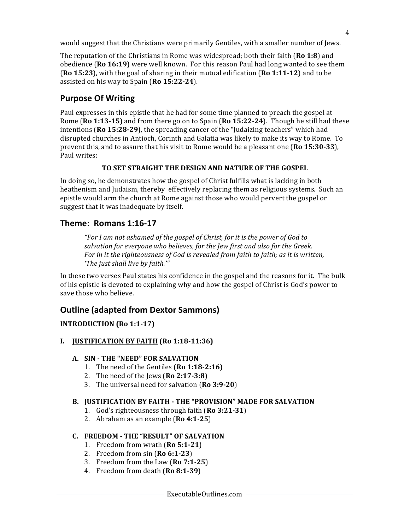would suggest that the Christians were primarily Gentiles, with a smaller number of Jews.

The reputation of the Christians in Rome was widespread; both their faith (**Ro 1:8**) and obedience **(Ro 16:19)** were well known. For this reason Paul had long wanted to see them **(Ro 15:23)**, with the goal of sharing in their mutual edification **(Ro 1:11-12)** and to be assisted on his way to Spain (Ro 15:22-24).

#### **Purpose Of Writing**

Paul expresses in this epistle that he had for some time planned to preach the gospel at Rome  $(Ro 1:13-15)$  and from there go on to Spain  $(Ro 15:22-24)$ . Though he still had these intentions (**Ro 15:28-29**), the spreading cancer of the "Judaizing teachers" which had disrupted churches in Antioch, Corinth and Galatia was likely to make its way to Rome. To prevent this, and to assure that his visit to Rome would be a pleasant one **(Ro 15:30-33**), Paul writes:

#### **TO SET STRAIGHT THE DESIGN AND NATURE OF THE GOSPEL**

In doing so, he demonstrates how the gospel of Christ fulfills what is lacking in both heathenism and Judaism, thereby effectively replacing them as religious systems. Such an epistle would arm the church at Rome against those who would pervert the gospel or suggest that it was inadequate by itself.

#### **Theme: Romans 1:16-17**

*"For I am not ashamed of the gospel of Christ, for it is the power of God to* salvation for everyone who believes, for the Jew first and also for the Greek. For in it the righteousness of God is revealed from faith to faith; as it is written, *'The just shall live by faith.'"* 

In these two verses Paul states his confidence in the gospel and the reasons for it. The bulk of his epistle is devoted to explaining why and how the gospel of Christ is God's power to save those who believe.

#### **Outline (adapted from Dextor Sammons)**

#### **INTRODUCTION (Ro 1:1-17)**

**I. JUSTIFICATION BY FAITH (Ro 1:18-11:36)**

#### **A. SIN - THE "NEED" FOR SALVATION**

- 1. The need of the Gentiles (**Ro 1:18-2:16**)
- 2. The need of the Jews (**Ro 2:17-3:8**)
- 3. The universal need for salvation (**Ro** 3:9-20)

#### **B. JUSTIFICATION BY FAITH - THE "PROVISION" MADE FOR SALVATION**

- 1. God's righteousness through faith (**Ro** 3:21-31)
- 2. Abraham as an example (**Ro 4:1-25**)

#### **C. FREEDOM - THE "RESULT" OF SALVATION**

- 1. Freedom from wrath (**Ro 5:1-21**)
- 2. Freedom from sin (**Ro 6:1-23**)
- 3. Freedom from the Law (**Ro 7:1-25**)
- 4. Freedom from death (Ro 8:1-39)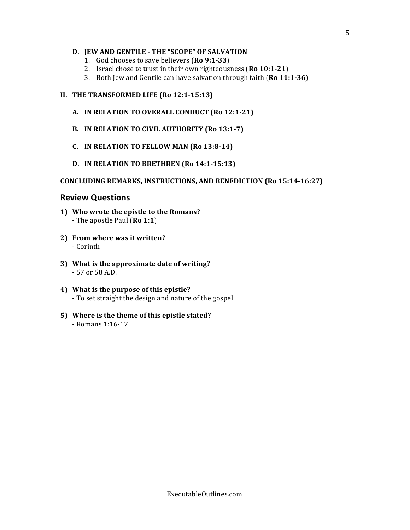#### **D. JEW AND GENTILE - THE "SCOPE" OF SALVATION**

- 1. God chooses to save believers (**Ro 9:1-33**)
- 2. Israel chose to trust in their own righteousness (Ro 10:1-21)
- 3. Both Jew and Gentile can have salvation through faith (Ro 11:1-36)

#### **II.** THE TRANSFORMED LIFE (Ro 12:1-15:13)

- A. IN RELATION TO OVERALL CONDUCT (Ro 12:1-21)
- **B.** IN RELATION TO CIVIL AUTHORITY (Ro 13:1-7)
- **C. IN RELATION TO FELLOW MAN (Ro 13:8-14)**
- **D. IN RELATION TO BRETHREN (Ro 14:1-15:13)**

#### **CONCLUDING REMARKS, INSTRUCTIONS, AND BENEDICTION (Ro 15:14-16:27)**

#### **Review Questions**

- **1)** Who wrote the epistle to the Romans? - The apostle Paul (Ro 1:1)
- **2) From where was it written?** - Corinth
- **3)** What is the approximate date of writing? - 57 or 58 A.D.
- 4) What is the purpose of this epistle? - To set straight the design and nature of the gospel
- 5) Where is the theme of this epistle stated? - Romans 1:16-17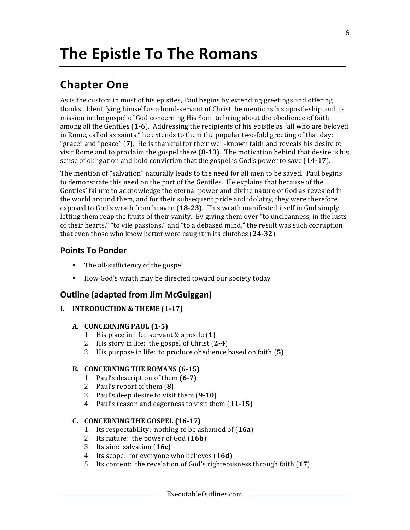### **Chapter One**

As is the custom in most of his epistles, Paul begins by extending greetings and offering thanks. Identifying himself as a bond-servant of Christ, he mentions his apostleship and its mission in the gospel of God concerning His Son: to bring about the obedience of faith among all the Gentiles (1-6). Addressing the recipients of his epistle as "all who are beloved in Rome, called as saints," he extends to them the popular two-fold greeting of that day: "grace" and "peace" (7). He is thankful for their well-known faith and reveals his desire to visit Rome and to proclaim the gospel there  $(8-13)$ . The motivation behind that desire is his sense of obligation and bold conviction that the gospel is God's power to save (14-17).

The mention of "salvation" naturally leads to the need for all men to be saved. Paul begins to demonstrate this need on the part of the Gentiles. He explains that because of the Gentiles' failure to acknowledge the eternal power and divine nature of God as revealed in the world around them, and for their subsequent pride and idolatry, they were therefore exposed to God's wrath from heaven (18-23). This wrath manifested itself in God simply letting them reap the fruits of their vanity. By giving them over "to uncleanness, in the lusts of their hearts," "to vile passions," and "to a debased mind," the result was such corruption that even those who knew better were caught in its clutches (24-32).

#### **Points To Ponder**

- The all-sufficiency of the gospel
- How God's wrath may be directed toward our society today

#### **Outline (adapted from Jim McGuiggan)**

#### **I. INTRODUCTION & THEME (1-17)**

#### **A. CONCERNING PAUL (1-5)**

- 1. His place in life: servant & apostle (1)
- 2. His story in life: the gospel of Christ (2-4)
- 3. His purpose in life: to produce obedience based on faith (5)

#### **B.** CONCERNING THE ROMANS (6-15)

- 1. Paul's description of them (6-7)
- 2. Paul's report of them (8)
- 3. Paul's deep desire to visit them (9-10)
- 4. Paul's reason and eagerness to visit them (11-15)

#### **C. CONCERNING THE GOSPEL (16-17)**

- 1. Its respectability: nothing to be ashamed of (16a)
- 2. Its nature: the power of God (16b)
- 3. Its aim: salvation (**16c**)
- 4. Its scope: for everyone who believes (16d)
- 5. Its content: the revelation of God's righteousness through faith (17)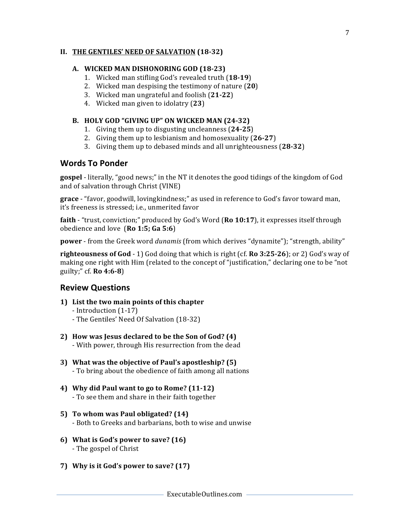#### **II.** THE GENTILES' NEED OF SALVATION (18-32)

#### **A. WICKED MAN DISHONORING GOD (18-23)**

- 1. Wicked man stifling God's revealed truth (18-19)
- 2. Wicked man despising the testimony of nature (20)
- 3. Wicked man ungrateful and foolish (**21-22**)
- 4. Wicked man given to idolatry (23)

#### **B. HOLY GOD "GIVING UP" ON WICKED MAN (24-32)**

- 1. Giving them up to disgusting uncleanness (24-25)
- 2. Giving them up to lesbianism and homosexuality (26-27)
- 3. Giving them up to debased minds and all unrighteousness (28-32)

#### **Words To Ponder**

**gospel** - literally, "good news;" in the NT it denotes the good tidings of the kingdom of God and of salvation through Christ (VINE)

grace - "favor, goodwill, lovingkindness;" as used in reference to God's favor toward man, it's freeness is stressed; i.e., unmerited favor

**faith** - "trust, conviction;" produced by God's Word (Ro 10:17), it expresses itself through obedience and love (Ro 1:5; Ga 5:6)

**power** - from the Greek word *dunamis* (from which derives "dynamite"); "strength, ability"

**righteousness of God** - 1) God doing that which is right (cf. **Ro** 3:25-26); or 2) God's way of making one right with Him (related to the concept of "justification," declaring one to be "not guilty;" cf. **Ro 4:6-8**)

#### **Review Questions**

- **1)** List the two main points of this chapter
	- Introduction (1-17)
	- The Gentiles' Need Of Salvation (18-32)
- **2)** How was Jesus declared to be the Son of God? (4) - With power, through His resurrection from the dead
- **3)** What was the objective of Paul's apostleship? (5) - To bring about the obedience of faith among all nations
- **4) Why did Paul want to go to Rome? (11-12)** - To see them and share in their faith together
- **5) To whom was Paul obligated? (14)** - Both to Greeks and barbarians, both to wise and unwise
- **6)** What is God's power to save? (16) - The gospel of Christ
- **7) Why is it God's power to save? (17)**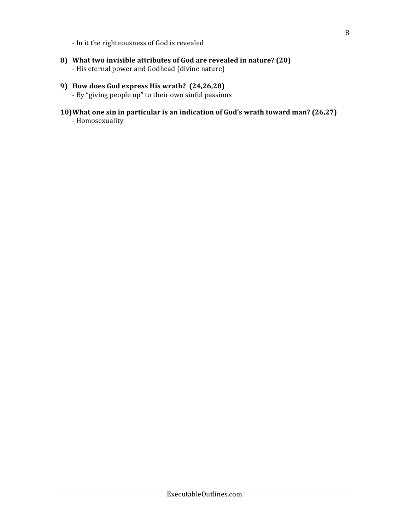- In it the righteousness of God is revealed

8) What two invisible attributes of God are revealed in nature? (20) - His eternal power and Godhead (divine nature)

#### **9) How does God express His wrath? (24,26,28)**

- By "giving people up" to their own sinful passions

**10)What one sin in particular is an indication of God's wrath toward man? (26,27)** - Homosexuality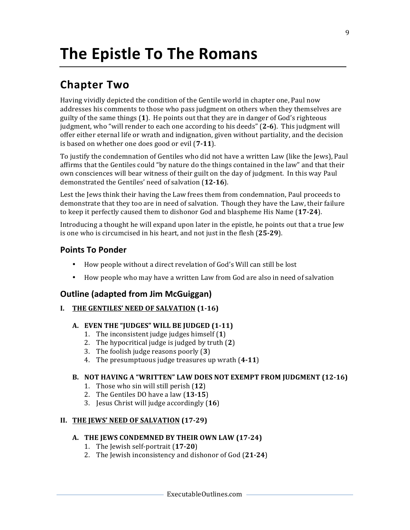### **Chapter Two**

Having vividly depicted the condition of the Gentile world in chapter one, Paul now addresses his comments to those who pass judgment on others when they themselves are guilty of the same things  $(1)$ . He points out that they are in danger of God's righteous judgment, who "will render to each one according to his deeds" (2-6). This judgment will offer either eternal life or wrath and indignation, given without partiality, and the decision is based on whether one does good or evil (7-11).

To justify the condemnation of Gentiles who did not have a written Law (like the Jews), Paul affirms that the Gentiles could "by nature do the things contained in the law" and that their own consciences will bear witness of their guilt on the day of judgment. In this way Paul demonstrated the Gentiles' need of salvation (12-16).

Lest the Jews think their having the Law frees them from condemnation, Paul proceeds to demonstrate that they too are in need of salvation. Though they have the Law, their failure to keep it perfectly caused them to dishonor God and blaspheme His Name (17-24).

Introducing a thought he will expand upon later in the epistle, he points out that a true Jew is one who is circumcised in his heart, and not just in the flesh (25-29).

#### **Points To Ponder**

- How people without a direct revelation of God's Will can still be lost
- How people who may have a written Law from God are also in need of salvation

#### **Outline (adapted from Jim McGuiggan)**

**I.** THE GENTILES' NEED OF SALVATION (1-16)

#### **A. EVEN THE "JUDGES" WILL BE JUDGED (1-11)**

- 1. The inconsistent judge judges himself  $(1)$
- 2. The hypocritical judge is judged by truth  $(2)$
- 3. The foolish judge reasons poorly (3)
- 4. The presumptuous judge treasures up wrath (4-11)

#### **B.** NOT HAVING A "WRITTEN" LAW DOES NOT EXEMPT FROM JUDGMENT (12-16)

- 1. Those who sin will still perish (12)
- 2. The Gentiles DO have a law (13-15)
- 3. Jesus Christ will judge accordingly (**16**)

#### **II.** THE JEWS' NEED OF SALVATION (17-29)

#### A. THE JEWS CONDEMNED BY THEIR OWN LAW (17-24)

- 1. The Jewish self-portrait (17-20)
- 2. The Jewish inconsistency and dishonor of God (21-24)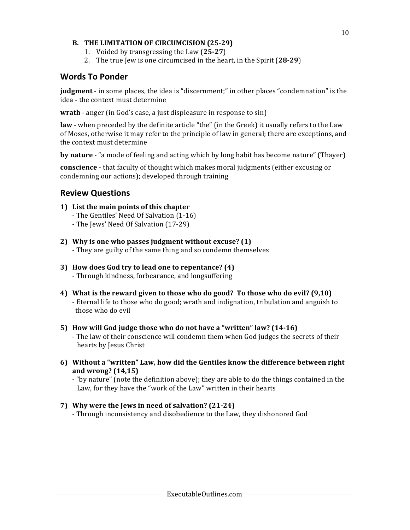#### **B.** THE LIMITATION OF CIRCUMCISION (25-29)

- 1. Voided by transgressing the Law (**25-27**)
- 2. The true Jew is one circumcised in the heart, in the Spirit (28-29)

#### **Words To Ponder**

**judgment** - in some places, the idea is "discernment;" in other places "condemnation" is the idea - the context must determine

**wrath** - anger (in God's case, a just displeasure in response to sin)

**law** - when preceded by the definite article "the" (in the Greek) it usually refers to the Law of Moses, otherwise it may refer to the principle of law in general; there are exceptions, and the context must determine

**by nature** - "a mode of feeling and acting which by long habit has become nature" (Thayer)

**conscience** - that faculty of thought which makes moral judgments (either excusing or condemning our actions); developed through training

#### **Review Questions**

- **1) List the main points of this chapter**
	- The Gentiles' Need Of Salvation (1-16)
	- The Jews' Need Of Salvation (17-29)
- **2)** Why is one who passes judgment without excuse? (1) - They are guilty of the same thing and so condemn themselves
- **3)** How does God try to lead one to repentance? (4) - Through kindness, forbearance, and longsuffering
- **4)** What is the reward given to those who do good? To those who do evil? (9,10) - Eternal life to those who do good; wrath and indignation, tribulation and anguish to those who do evil
- **5) How will God judge those who do not have a "written" law? (14-16)** - The law of their conscience will condemn them when God judges the secrets of their hearts by Jesus Christ
- **6)** Without a "written" Law, how did the Gentiles know the difference between right **and wrong? (14,15)**

- "by nature" (note the definition above); they are able to do the things contained in the Law, for they have the "work of the Law" written in their hearts

#### **7)** Why were the Jews in need of salvation? (21-24)

- Through inconsistency and disobedience to the Law, they dishonored God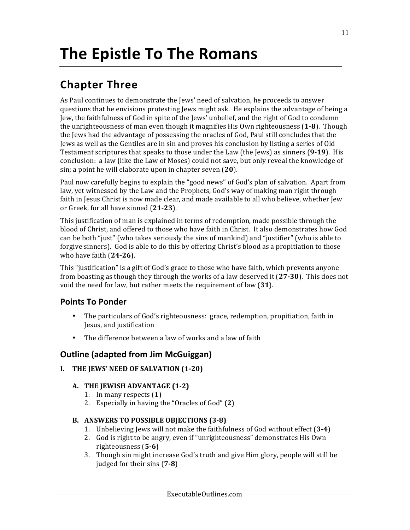### **Chapter Three**

As Paul continues to demonstrate the Jews' need of salvation, he proceeds to answer questions that he envisions protesting Jews might ask. He explains the advantage of being a Jew, the faithfulness of God in spite of the Jews' unbelief, and the right of God to condemn the unrighteousness of man even though it magnifies His Own righteousness (1-8). Though the Jews had the advantage of possessing the oracles of God, Paul still concludes that the Jews as well as the Gentiles are in sin and proves his conclusion by listing a series of Old Testament scriptures that speaks to those under the Law (the Jews) as sinners (9-19). His conclusion: a law (like the Law of Moses) could not save, but only reveal the knowledge of sin; a point he will elaborate upon in chapter seven (20).

Paul now carefully begins to explain the "good news" of God's plan of salvation. Apart from law, yet witnessed by the Law and the Prophets, God's way of making man right through faith in Jesus Christ is now made clear, and made available to all who believe, whether Jew or Greek, for all have sinned (21-23).

This justification of man is explained in terms of redemption, made possible through the blood of Christ, and offered to those who have faith in Christ. It also demonstrates how God can be both "just" (who takes seriously the sins of mankind) and "justifier" (who is able to forgive sinners). God is able to do this by offering Christ's blood as a propitiation to those who have faith (24-26).

This "justification" is a gift of God's grace to those who have faith, which prevents anyone from boasting as though they through the works of a law deserved it (27-30). This does not void the need for law, but rather meets the requirement of law (31).

#### **Points To Ponder**

- The particulars of God's righteousness: grace, redemption, propitiation, faith in Jesus, and justification
- The difference between a law of works and a law of faith

#### **Outline (adapted from Jim McGuiggan)**

#### **I.** THE JEWS' NEED OF SALVATION (1-20)

#### A. THE JEWISH ADVANTAGE (1-2)

- 1. In many respects (**1**)
- 2. Especially in having the "Oracles of God" (2)

#### **B. ANSWERS TO POSSIBLE OBJECTIONS (3-8)**

- 1. Unbelieving lews will not make the faithfulness of God without effect (3-4)
- 2. God is right to be angry, even if "unrighteousness" demonstrates His Own righteousness (**5-6**)
- 3. Though sin might increase God's truth and give Him glory, people will still be judged for their sins (7-8)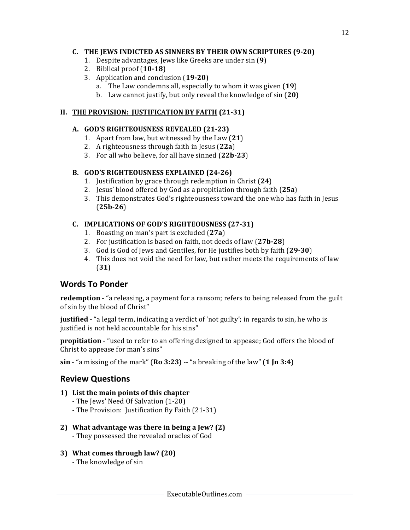#### **C.** THE JEWS INDICTED AS SINNERS BY THEIR OWN SCRIPTURES (9-20)

- 1. Despite advantages, Jews like Greeks are under sin (9)
- 2. Biblical proof (**10-18**)
- 3. Application and conclusion (19-20)
	- a. The Law condemns all, especially to whom it was given (19)
	- b. Law cannot justify, but only reveal the knowledge of sin (20)

#### **II. THE PROVISION: JUSTIFICATION BY FAITH (21-31)**

#### A. **GOD'S RIGHTEOUSNESS REVEALED** (21-23)

- 1. Apart from law, but witnessed by the Law  $(21)$
- 2. A righteousness through faith in Jesus (22a)
- 3. For all who believe, for all have sinned (22b-23)

#### B. **GOD'S RIGHTEOUSNESS EXPLAINED** (24-26)

- 1. Justification by grace through redemption in Christ (**24**)
- 2. Jesus' blood offered by God as a propitiation through faith (**25a**)
- 3. This demonstrates God's righteousness toward the one who has faith in Jesus (**25b-26**)

#### **C. IMPLICATIONS OF GOD'S RIGHTEOUSNESS (27-31)**

- 1. Boasting on man's part is excluded (27a)
- 2. For justification is based on faith, not deeds of law (27b-28)
- 3. God is God of Jews and Gentiles, for He justifies both by faith (29-30)
- 4. This does not void the need for law, but rather meets the requirements of law (**31**)

#### **Words To Ponder**

**redemption** - "a releasing, a payment for a ransom; refers to being released from the guilt of sin by the blood of Christ"

**justified** - "a legal term, indicating a verdict of 'not guilty'; in regards to sin, he who is justified is not held accountable for his sins"

**propitiation** - "used to refer to an offering designed to appease; God offers the blood of Christ to appease for man's sins"

**sin** - "a missing of the mark" (**Ro** 3:23) -- "a breaking of the law" (1 **Jn** 3:4)

#### **Review Questions**

#### **1)** List the main points of this chapter

- The Jews' Need Of Salvation (1-20)
- The Provision: Justification By Faith (21-31)

#### **2)** What advantage was there in being a Jew? (2)

- They possessed the revealed oracles of God
- **3)** What comes through law? (20)
	- The knowledge of sin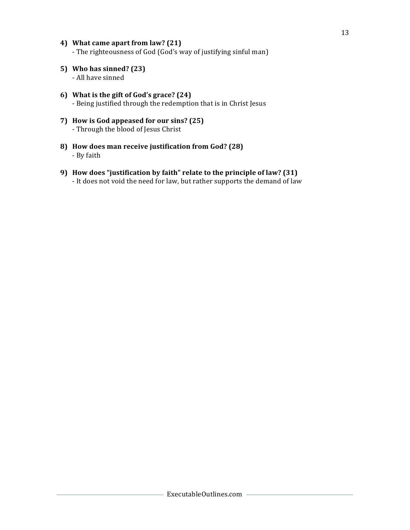- **4)** What came apart from law? (21) - The righteousness of God (God's way of justifying sinful man)
- **5) Who has sinned? (23)** - All have sinned
- **6)** What is the gift of God's grace? (24) - Being justified through the redemption that is in Christ Jesus
- **7) How is God appeased for our sins? (25)** - Through the blood of Jesus Christ
- **8) How does man receive justification from God? (28)** - By faith
- **9) How does "justification by faith" relate to the principle of law? (31)** - It does not void the need for law, but rather supports the demand of law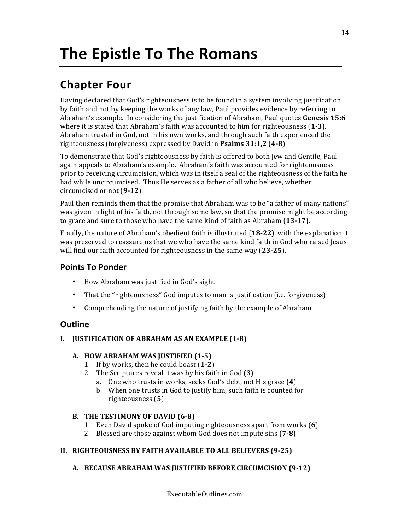### **Chapter Four**

Having declared that God's righteousness is to be found in a system involving justification by faith and not by keeping the works of any law, Paul provides evidence by referring to Abraham's example. In considering the justification of Abraham, Paul quotes **Genesis 15:6** where it is stated that Abraham's faith was accounted to him for righteousness (1-3). Abraham trusted in God, not in his own works, and through such faith experienced the righteousness (forgiveness) expressed by David in **Psalms 31:1,2** (**4-8**).

To demonstrate that God's righteousness by faith is offered to both Jew and Gentile, Paul again appeals to Abraham's example. Abraham's faith was accounted for righteousness prior to receiving circumcision, which was in itself a seal of the righteousness of the faith he had while uncircumcised. Thus He serves as a father of all who believe, whether circumcised or not (9-12).

Paul then reminds them that the promise that Abraham was to be "a father of many nations" was given in light of his faith, not through some law, so that the promise might be according to grace and sure to those who have the same kind of faith as Abraham (13-17).

Finally, the nature of Abraham's obedient faith is illustrated (18-22), with the explanation it was preserved to reassure us that we who have the same kind faith in God who raised Jesus will find our faith accounted for righteousness in the same way (23-25).

#### **Points To Ponder**

- How Abraham was justified in God's sight
- That the "righteousness" God imputes to man is justification (i.e. forgiveness)
- Comprehending the nature of justifying faith by the example of Abraham

#### **Outline**

#### **I. JUSTIFICATION OF ABRAHAM AS AN EXAMPLE** (1-8)

#### **A. HOW ABRAHAM WAS JUSTIFIED (1-5)**

- 1. If by works, then he could boast (1-2)
- 2. The Scriptures reveal it was by his faith in God (3)
	- a. One who trusts in works, seeks God's debt, not His grace (4)
	- b. When one trusts in God to justify him, such faith is counted for righteousness (**5**)

#### **B.** THE TESTIMONY OF DAVID (6-8)

- 1. Even David spoke of God imputing righteousness apart from works (6)
- 2. Blessed are those against whom God does not impute sins (7-8)

#### **II.** RIGHTEOUSNESS BY FAITH AVAILABLE TO ALL BELIEVERS (9-25)

#### A. BECAUSE ABRAHAM WAS JUSTIFIED BEFORE CIRCUMCISION (9-12)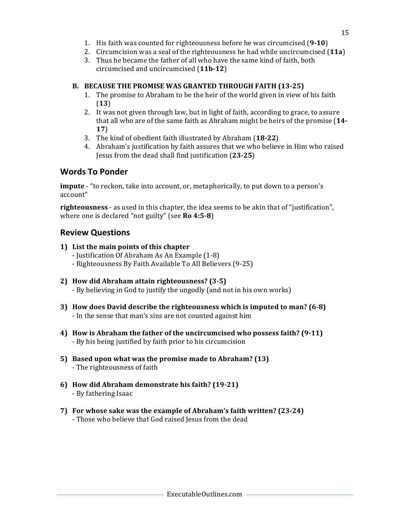- 1. His faith was counted for righteousness before he was circumcised (9-10)
- 2. Circumcision was a seal of the righteousness he had while uncircumcised (11a)
- 3. Thus he became the father of all who have the same kind of faith, both circumcised and uncircumcised (**11b-12**)

#### **B. BECAUSE THE PROMISE WAS GRANTED THROUGH FAITH (13-25)**

- 1. The promise to Abraham to be the heir of the world given in view of his faith (**13**)
- 2. It was not given through law, but in light of faith, according to grace, to assure that all who are of the same faith as Abraham might be heirs of the promise  $(14-)$ **17**)
- 3. The kind of obedient faith illustrated by Abraham (18-22)
- 4. Abraham's justification by faith assures that we who believe in Him who raised Jesus from the dead shall find justification (**23-25**)

#### **Words To Ponder**

**impute** - "to reckon, take into account, or, metaphorically, to put down to a person's account"

**righteousness** - as used in this chapter, the idea seems to be akin that of "justification", where one is declared "not guilty" (see **Ro 4:5-8**)

#### **Review Questions**

- **1)** List the main points of this chapter
	- Justification Of Abraham As An Example (1-8)
	- Righteousness By Faith Available To All Believers (9-25)
- **2) How did Abraham attain righteousness? (3-5)** - By believing in God to justify the ungodly (and not in his own works)
- **3)** How does David describe the righteousness which is imputed to man? (6-8) - In the sense that man's sins are not counted against him
- **4) How is Abraham the father of the uncircumcised who possess faith? (9-11)** - By his being justified by faith prior to his circumcision
- **5)** Based upon what was the promise made to Abraham? (13) - The righteousness of faith
- **6) How did Abraham demonstrate his faith? (19-21)** - By fathering Isaac
- **7)** For whose sake was the example of Abraham's faith written? (23-24) - Those who believe that God raised Jesus from the dead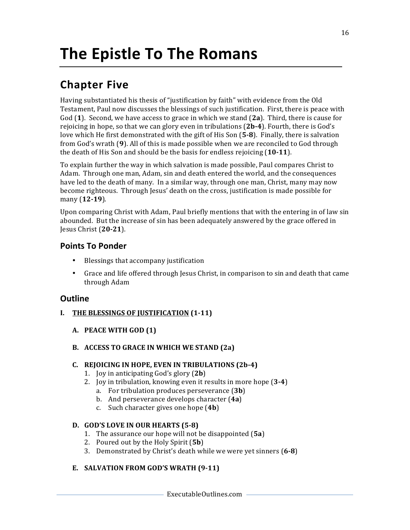### **Chapter Five**

Having substantiated his thesis of "justification by faith" with evidence from the Old Testament, Paul now discusses the blessings of such justification. First, there is peace with God (1). Second, we have access to grace in which we stand (2a). Third, there is cause for rejoicing in hope, so that we can glory even in tribulations  $(2b-4)$ . Fourth, there is God's love which He first demonstrated with the gift of His Son (5-8). Finally, there is salvation from God's wrath (9). All of this is made possible when we are reconciled to God through the death of His Son and should be the basis for endless rejoicing (10-11).

To explain further the way in which salvation is made possible, Paul compares Christ to Adam. Through one man, Adam, sin and death entered the world, and the consequences have led to the death of many. In a similar way, through one man, Christ, many may now become righteous. Through Jesus' death on the cross, justification is made possible for many (**12-19**).

Upon comparing Christ with Adam, Paul briefly mentions that with the entering in of law sin abounded. But the increase of sin has been adequately answered by the grace offered in Jesus Christ (**20-21**).

#### **Points To Ponder**

- Blessings that accompany justification
- Grace and life offered through Jesus Christ, in comparison to sin and death that came through Adam

#### **Outline**

- **I.** THE BLESSINGS OF JUSTIFICATION (1-11)
	- **A. PEACE WITH GOD (1)**
	- **B.** ACCESS TO GRACE IN WHICH WE STAND (2a)

#### **C. REJOICING IN HOPE, EVEN IN TRIBULATIONS (2b-4)**

- 1. Joy in anticipating God's glory (2**b**)
- 2. Joy in tribulation, knowing even it results in more hope (3-4)
	- a. For tribulation produces perseverance (3b)
	- b. And perseverance develops character (4a)
	- c. Such character gives one hope (4b)

#### **D. GOD'S LOVE IN OUR HEARTS (5-8)**

- 1. The assurance our hope will not be disappointed (5a)
- 2. Poured out by the Holy Spirit (5b)
- 3. Demonstrated by Christ's death while we were yet sinners (6-8)

#### E. SALVATION FROM GOD'S WRATH (9-11)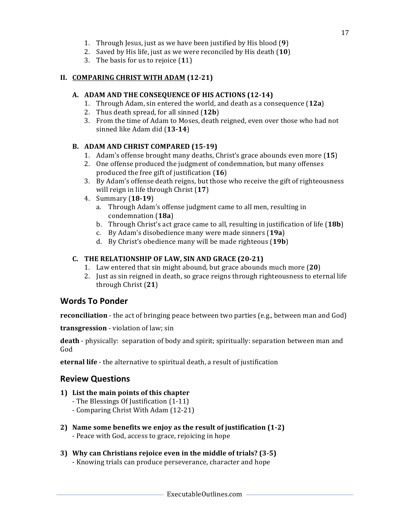- 1. Through Jesus, just as we have been justified by His blood (9)
- 2. Saved by His life, just as we were reconciled by His death (10)
- 3. The basis for us to rejoice  $(11)$

#### **II. COMPARING CHRIST WITH ADAM (12-21)**

#### A. ADAM AND THE CONSEQUENCE OF HIS ACTIONS (12-14)

- 1. Through Adam, sin entered the world, and death as a consequence (12a)
- 2. Thus death spread, for all sinned (12b)
- 3. From the time of Adam to Moses, death reigned, even over those who had not sinned like Adam did (13-14)

#### B. **ADAM AND CHRIST COMPARED** (15-19)

- 1. Adam's offense brought many deaths, Christ's grace abounds even more (15)
- 2. One offense produced the judgment of condemnation, but many offenses produced the free gift of justification (16)
- 3. By Adam's offense death reigns, but those who receive the gift of righteousness will reign in life through Christ (17)
- 4. Summary (**18-19**)
	- a. Through Adam's offense judgment came to all men, resulting in condemnation (**18a**)
	- b. Through Christ's act grace came to all, resulting in justification of life (18b)
	- c. By Adam's disobedience many were made sinners (**19a**)
	- d. By Christ's obedience many will be made righteous (19b)

#### **C.** THE RELATIONSHIP OF LAW, SIN AND GRACE (20-21)

- 1. Law entered that sin might abound, but grace abounds much more (20)
- 2. Just as sin reigned in death, so grace reigns through righteousness to eternal life through Christ (**21**)

#### **Words To Ponder**

**reconciliation** - the act of bringing peace between two parties (e.g., between man and God)

**transgression** - violation of law; sin

**death** - physically: separation of body and spirit; spiritually: separation between man and God

**eternal life** - the alternative to spiritual death, a result of justification

#### **Review Questions**

#### **1)** List the main points of this chapter

- The Blessings Of Justification (1-11)
- Comparing Christ With Adam (12-21)
- **2)** Name some benefits we enjoy as the result of justification  $(1-2)$ 
	- Peace with God, access to grace, rejoicing in hope
- **3)** Why can Christians rejoice even in the middle of trials? (3-5)
	- Knowing trials can produce perseverance, character and hope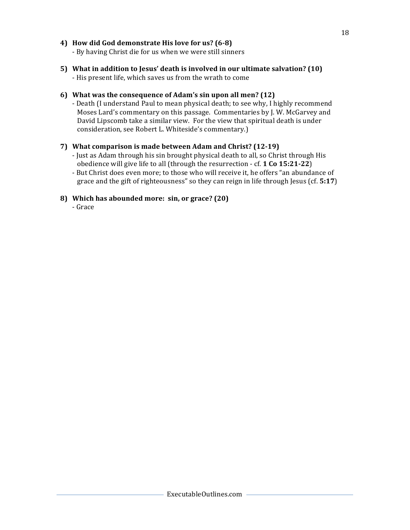#### **4) How did God demonstrate His love for us? (6-8)**

- By having Christ die for us when we were still sinners

**5)** What in addition to Jesus' death is involved in our ultimate salvation? (10) - His present life, which saves us from the wrath to come

#### **6)** What was the consequence of Adam's sin upon all men? (12)

- Death (I understand Paul to mean physical death; to see why, I highly recommend Moses Lard's commentary on this passage. Commentaries by J. W. McGarvey and David Lipscomb take a similar view. For the view that spiritual death is under consideration, see Robert L. Whiteside's commentary.)

#### **7)** What comparison is made between Adam and Christ? (12-19)

- Just as Adam through his sin brought physical death to all, so Christ through His obedience will give life to all (through the resurrection - cf. **1 Co 15:21-22**)
- But Christ does even more; to those who will receive it, he offers "an abundance of grace and the gift of righteousness" so they can reign in life through  $\text{[esus (cf. 5:17)}$

#### **8) Which has abounded more: sin, or grace? (20)**

- Grace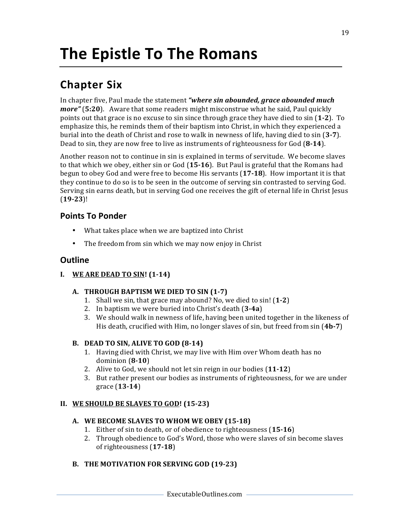### **Chapter Six**

In chapter five, Paul made the statement "where sin abounded, grace abounded much *more"* (5:20). Aware that some readers might misconstrue what he said, Paul quickly points out that grace is no excuse to sin since through grace they have died to sin (1-2). To emphasize this, he reminds them of their baptism into Christ, in which they experienced a burial into the death of Christ and rose to walk in newness of life, having died to sin (3-7). Dead to sin, they are now free to live as instruments of righteousness for God (8-14).

Another reason not to continue in sin is explained in terms of servitude. We become slaves to that which we obey, either sin or God (15-16). But Paul is grateful that the Romans had begun to obey God and were free to become His servants (17-18). How important it is that they continue to do so is to be seen in the outcome of serving sin contrasted to serving God. Serving sin earns death, but in serving God one receives the gift of eternal life in Christ Jesus (**19-23**)! 

#### **Points To Ponder**

- What takes place when we are baptized into Christ
- The freedom from sin which we may now enjoy in Christ

#### **Outline**

**I. WE ARE DEAD TO SIN!** (1-14)

#### **A. THROUGH BAPTISM WE DIED TO SIN (1-7)**

- 1. Shall we sin, that grace may abound? No, we died to sin! (1-2)
- 2. In baptism we were buried into Christ's death (3-4a)
- 3. We should walk in newness of life, having been united together in the likeness of His death, crucified with Him, no longer slaves of sin, but freed from sin (4b-7)

#### **B. DEAD TO SIN, ALIVE TO GOD (8-14)**

- 1. Having died with Christ, we may live with Him over Whom death has no dominion (**8-10**)
- 2. Alive to God, we should not let sin reign in our bodies (11-12)
- 3. But rather present our bodies as instruments of righteousness, for we are under grace (**13-14**)

#### **II.** WE SHOULD BE SLAVES TO GOD! (15-23)

#### A. WE BECOME SLAVES TO WHOM WE OBEY (15-18)

- 1. Either of sin to death, or of obedience to righteousness (15-16)
- 2. Through obedience to God's Word, those who were slaves of sin become slaves of righteousness (**17-18**)

#### B. THE MOTIVATION FOR SERVING GOD (19-23)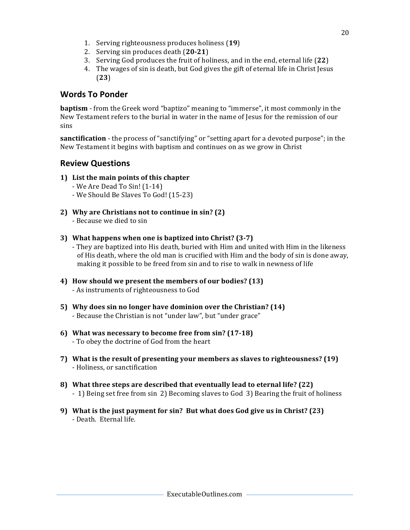- 1. Serving righteousness produces holiness (19)
- 2. Serving sin produces death (20-21)
- 3. Serving God produces the fruit of holiness, and in the end, eternal life (22)
- 4. The wages of sin is death, but God gives the gift of eternal life in Christ Jesus (**23**)

#### **Words To Ponder**

**baptism** - from the Greek word "baptizo" meaning to "immerse", it most commonly in the New Testament refers to the burial in water in the name of Jesus for the remission of our sins

**sanctification** - the process of "sanctifying" or "setting apart for a devoted purpose"; in the New Testament it begins with baptism and continues on as we grow in Christ

#### **Review Questions**

- **1)** List the main points of this chapter
	- $-$  We Are Dead To Sin!  $(1-14)$
	- We Should Be Slaves To God! (15-23)
- **2)** Why are Christians not to continue in sin? (2) - Because we died to sin
- **3)** What happens when one is baptized into Christ? (3-7)

- They are baptized into His death, buried with Him and united with Him in the likeness of His death, where the old man is crucified with Him and the body of sin is done away, making it possible to be freed from sin and to rise to walk in newness of life

- **4) How should we present the members of our bodies? (13)** - As instruments of righteousness to God
- **5)** Why does sin no longer have dominion over the Christian? (14) - Because the Christian is not "under law", but "under grace"
- **6)** What was necessary to become free from sin? (17-18) - To obey the doctrine of God from the heart
- **7)** What is the result of presenting your members as slaves to righteousness? (19) - Holiness, or sanctification
- **8)** What three steps are described that eventually lead to eternal life? (22) - 1) Being set free from sin 2) Becoming slaves to God 3) Bearing the fruit of holiness
- **9)** What is the just payment for sin? But what does God give us in Christ? (23) - Death. Eternal life.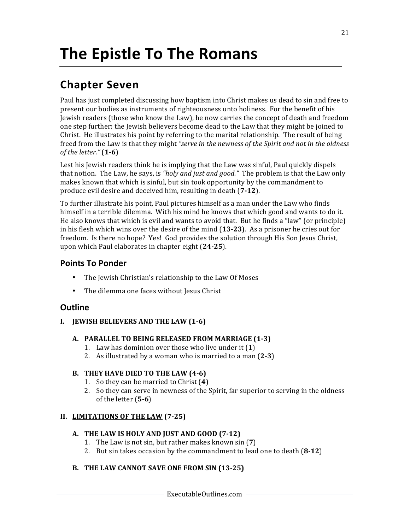### **Chapter Seven**

Paul has just completed discussing how baptism into Christ makes us dead to sin and free to present our bodies as instruments of righteousness unto holiness. For the benefit of his Jewish readers (those who know the Law), he now carries the concept of death and freedom one step further: the Jewish believers become dead to the Law that they might be joined to Christ. He illustrates his point by referring to the marital relationship. The result of being freed from the Law is that they might "serve in the newness of the Spirit and not in the oldness *of the letter."* (**1-6**)

Lest his Jewish readers think he is implying that the Law was sinful, Paul quickly dispels that notion. The Law, he says, is *"holy and just and good."* The problem is that the Law only makes known that which is sinful, but sin took opportunity by the commandment to produce evil desire and deceived him, resulting in death (7-12).

To further illustrate his point, Paul pictures himself as a man under the Law who finds himself in a terrible dilemma. With his mind he knows that which good and wants to do it. He also knows that which is evil and wants to avoid that. But he finds a "law" (or principle) in his flesh which wins over the desire of the mind (13-23). As a prisoner he cries out for freedom. Is there no hope? Yes! God provides the solution through His Son Jesus Christ, upon which Paul elaborates in chapter eight (24-25).

#### **Points To Ponder**

- The Jewish Christian's relationship to the Law Of Moses
- The dilemma one faces without Jesus Christ

#### **Outline**

#### **I. JEWISH BELIEVERS AND THE LAW (1-6)**

#### A. **PARALLEL TO BEING RELEASED FROM MARRIAGE (1-3)**

- 1. Law has dominion over those who live under it (1)
- 2. As illustrated by a woman who is married to a man  $(2-3)$

#### **B.** THEY HAVE DIED TO THE LAW (4-6)

- 1. So they can be married to Christ (4)
- 2. So they can serve in newness of the Spirit, far superior to serving in the oldness of the letter  $(5-6)$

#### **II.** LIMITATIONS OF THE LAW (7-25)

#### A. THE LAW IS HOLY AND JUST AND GOOD (7-12)

- 1. The Law is not sin, but rather makes known sin (7)
- 2. But sin takes occasion by the commandment to lead one to death (8-12)

#### **B.** THE LAW CANNOT SAVE ONE FROM SIN (13-25)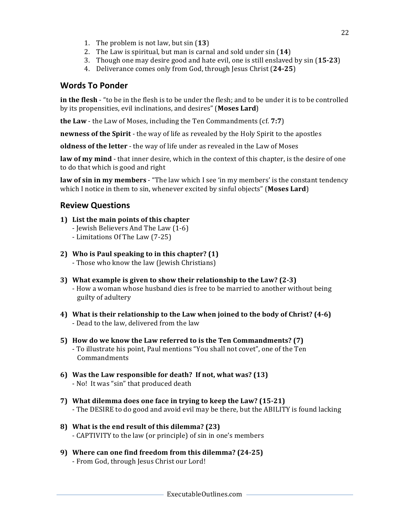- 1. The problem is not law, but sin (13)
- 2. The Law is spiritual, but man is carnal and sold under sin (14)
- 3. Though one may desire good and hate evil, one is still enslaved by sin (15-23)
- 4. Deliverance comes only from God, through Jesus Christ (24-25)

#### **Words To Ponder**

**in the flesh** - "to be in the flesh is to be under the flesh; and to be under it is to be controlled by its propensities, evil inclinations, and desires" (Moses Lard)

**the Law** - the Law of Moses, including the Ten Commandments (cf. 7:7)

**newness of the Spirit** - the way of life as revealed by the Holy Spirit to the apostles

**oldness of the letter** - the way of life under as revealed in the Law of Moses

**law of my mind** - that inner desire, which in the context of this chapter, is the desire of one to do that which is good and right

**law of sin in my members** - "The law which I see 'in my members' is the constant tendency which I notice in them to sin, whenever excited by sinful objects" (Moses Lard)

#### **Review Questions**

- **1)** List the main points of this chapter
	- Jewish Believers And The Law (1-6)
	- Limitations Of The Law (7-25)
- **2)** Who is Paul speaking to in this chapter? (1) - Those who know the law (Jewish Christians)
- **3)** What example is given to show their relationship to the Law? (2-3) - How a woman whose husband dies is free to be married to another without being guilty of adultery
- **4)** What is their relationship to the Law when joined to the body of Christ? (4-6) - Dead to the law, delivered from the law
- **5)** How do we know the Law referred to is the Ten Commandments? (7) - To illustrate his point, Paul mentions "You shall not covet", one of the Ten Commandments
- **6)** Was the Law responsible for death? If not, what was? (13) - No! It was "sin" that produced death
- **7)** What dilemma does one face in trying to keep the Law? (15-21) - The DESIRE to do good and avoid evil may be there, but the ABILITY is found lacking
- **8)** What is the end result of this dilemma? (23) - CAPTIVITY to the law (or principle) of sin in one's members
- **9)** Where can one find freedom from this dilemma? (24-25) - From God, through Jesus Christ our Lord!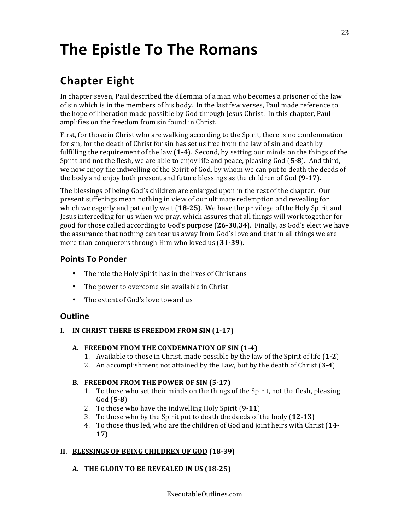# **The Epistle To The Romans**

### **Chapter Eight**

In chapter seven, Paul described the dilemma of a man who becomes a prisoner of the law of sin which is in the members of his body. In the last few verses, Paul made reference to the hope of liberation made possible by God through Jesus Christ. In this chapter, Paul amplifies on the freedom from sin found in Christ.

First, for those in Christ who are walking according to the Spirit, there is no condemnation for sin, for the death of Christ for sin has set us free from the law of sin and death by fulfilling the requirement of the law (1-4). Second, by setting our minds on the things of the Spirit and not the flesh, we are able to enjoy life and peace, pleasing God (5-8). And third, we now enjoy the indwelling of the Spirit of God, by whom we can put to death the deeds of the body and enjoy both present and future blessings as the children of  $God (9-17)$ .

The blessings of being God's children are enlarged upon in the rest of the chapter. Our present sufferings mean nothing in view of our ultimate redemption and revealing for which we eagerly and patiently wait  $(18-25)$ . We have the privilege of the Holy Spirit and Jesus interceding for us when we pray, which assures that all things will work together for good for those called according to God's purpose  $(26-30.34)$ . Finally, as God's elect we have the assurance that nothing can tear us away from God's love and that in all things we are more than conquerors through Him who loved us (31-39).

#### **Points To Ponder**

- The role the Holy Spirit has in the lives of Christians
- The power to overcome sin available in Christ
- The extent of God's love toward us

#### **Outline**

#### **I. IN CHRIST THERE IS FREEDOM FROM SIN (1-17)**

#### A. FREEDOM FROM THE CONDEMNATION OF SIN (1-4)

- 1. Available to those in Christ, made possible by the law of the Spirit of life (1-2)
- 2. An accomplishment not attained by the Law, but by the death of Christ (3-4)

#### B. FREEDOM FROM THE POWER OF SIN (5-17)

- 1. To those who set their minds on the things of the Spirit, not the flesh, pleasing God (**5-8**)
- 2. To those who have the indwelling Holy Spirit (9-11)
- 3. To those who by the Spirit put to death the deeds of the body (12-13)
- 4. To those thus led, who are the children of God and joint heirs with Christ (14-**17**)

#### **II.** BLESSINGS OF BEING CHILDREN OF GOD (18-39)

#### A. THE GLORY TO BE REVEALED IN US (18-25)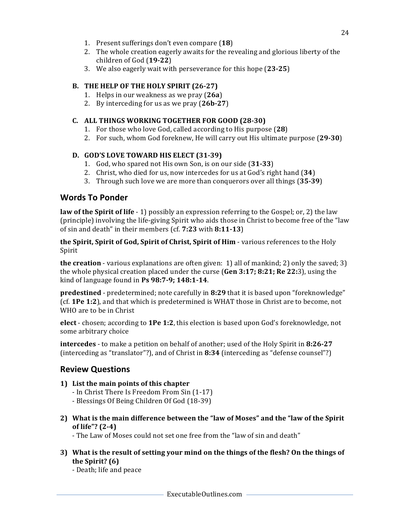- 1. Present sufferings don't even compare (18)
- 2. The whole creation eagerly awaits for the revealing and glorious liberty of the children of God (**19-22**)
- 3. We also eagerly wait with perseverance for this hope (**23-25**)

#### **B.** THE HELP OF THE HOLY SPIRIT (26-27)

- 1. Helps in our weakness as we pray (26a)
- 2. By interceding for us as we pray (26b-27)

#### **C. ALL THINGS WORKING TOGETHER FOR GOOD (28-30)**

- 1. For those who love God, called according to His purpose (28)
- 2. For such, whom God foreknew, He will carry out His ultimate purpose (29-30)

#### **D. GOD'S LOVE TOWARD HIS ELECT** (31-39)

- 1. God, who spared not His own Son, is on our side (31-33)
- 2. Christ, who died for us, now intercedes for us at God's right hand (34)
- 3. Through such love we are more than conquerors over all things (35-39)

#### **Words To Ponder**

**law of the Spirit of life** - 1) possibly an expression referring to the Gospel; or, 2) the law (principle) involving the life-giving Spirit who aids those in Christ to become free of the "law of sin and death" in their members (cf. **7:23** with **8:11-13**)

**the Spirit, Spirit of God, Spirit of Christ, Spirit of Him** - various references to the Holy Spirit

**the creation** - various explanations are often given:  $1$ ) all of mankind;  $2$ ) only the saved;  $3$ ) the whole physical creation placed under the curse  $(Gen 3:17; 8:21; Re 22:3)$ , using the kind of language found in **Ps 98:7-9; 148:1-14**.

**predestined** - predetermined; note carefully in 8:29 that it is based upon "foreknowledge" (cf. **1Pe 1:2**), and that which is predetermined is WHAT those in Christ are to become, not WHO are to be in Christ

**elect** - chosen; according to **1Pe 1:2**, this election is based upon God's foreknowledge, not some arbitrary choice

**intercedes** - to make a petition on behalf of another; used of the Holy Spirit in 8:26-27 (interceding as "translator"?), and of Christ in 8:34 (interceding as "defense counsel"?)

#### **Review Questions**

- **1)** List the main points of this chapter
	- In Christ There Is Freedom From Sin (1-17)
	- Blessings Of Being Children Of God (18-39)
- **2)** What is the main difference between the "law of Moses" and the "law of the Spirit **of life"? (2-4)**

- The Law of Moses could not set one free from the "law of sin and death"

3) What is the result of setting your mind on the things of the flesh? On the things of **the Spirit? (6)**

- Death; life and peace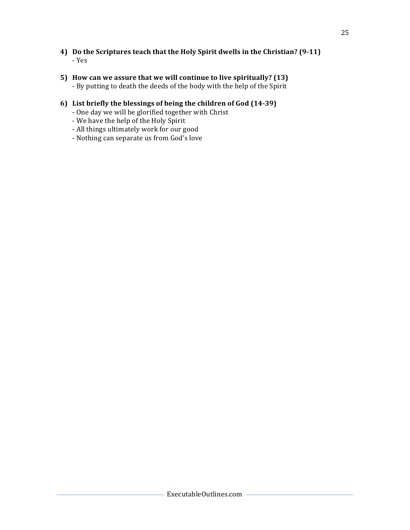- **4)** Do the Scriptures teach that the Holy Spirit dwells in the Christian? (9-11) - Yes
- **5)** How can we assure that we will continue to live spiritually? (13) - By putting to death the deeds of the body with the help of the Spirit

#### **6) List briefly the blessings of being the children of God (14-39)**

- One day we will be glorified together with Christ
- We have the help of the Holy Spirit
- All things ultimately work for our good
- Nothing can separate us from God's love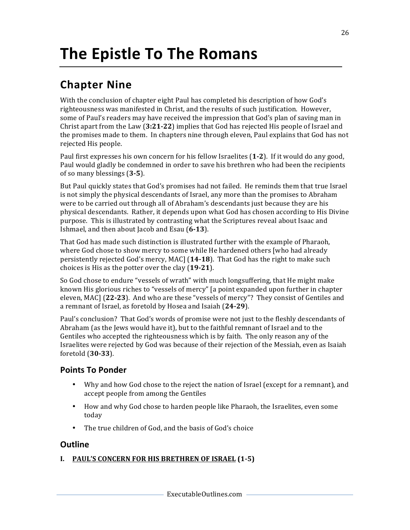# **The Epistle To The Romans**

### **Chapter Nine**

With the conclusion of chapter eight Paul has completed his description of how God's righteousness was manifested in Christ, and the results of such justification. However, some of Paul's readers may have received the impression that God's plan of saving man in Christ apart from the Law  $(3:21-22)$  implies that God has rejected His people of Israel and the promises made to them. In chapters nine through eleven, Paul explains that God has not rejected His people.

Paul first expresses his own concern for his fellow Israelites (1-2). If it would do any good, Paul would gladly be condemned in order to save his brethren who had been the recipients of so many blessings (3-5).

But Paul quickly states that God's promises had not failed. He reminds them that true Israel is not simply the physical descendants of Israel, any more than the promises to Abraham were to be carried out through all of Abraham's descendants just because they are his physical descendants. Rather, it depends upon what God has chosen according to His Divine purpose. This is illustrated by contrasting what the Scriptures reveal about Isaac and Ishmael, and then about Jacob and Esau (6-13).

That God has made such distinction is illustrated further with the example of Pharaoh, where God chose to show mercy to some while He hardened others [who had already persistently rejected God's mercy, MAC] (14-18). That God has the right to make such choices is His as the potter over the clay (19-21).

So God chose to endure "vessels of wrath" with much longsuffering, that He might make known His glorious riches to "vessels of mercy" [a point expanded upon further in chapter eleven, MAC] (22-23). And who are these "vessels of mercy"? They consist of Gentiles and a remnant of Israel, as foretold by Hosea and Isaiah (24-29).

Paul's conclusion? That God's words of promise were not just to the fleshly descendants of Abraham (as the Jews would have it), but to the faithful remnant of Israel and to the Gentiles who accepted the righteousness which is by faith. The only reason any of the Israelites were rejected by God was because of their rejection of the Messiah, even as Isaiah foretold (**30-33**).

#### **Points To Ponder**

- Why and how God chose to the reject the nation of Israel (except for a remnant), and accept people from among the Gentiles
- How and why God chose to harden people like Pharaoh, the Israelites, even some today
- The true children of God, and the basis of God's choice

#### **Outline**

#### **I. PAUL'S CONCERN FOR HIS BRETHREN OF ISRAEL (1-5)**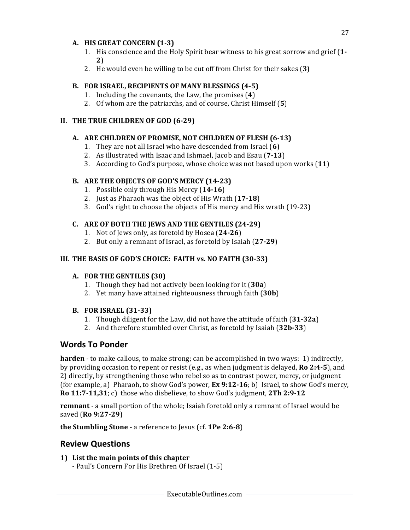#### A. HIS GREAT CONCERN (1-3)

- 1. His conscience and the Holy Spirit bear witness to his great sorrow and grief (1-**2**)
- 2. He would even be willing to be cut off from Christ for their sakes (3)

#### B. FOR ISRAEL, RECIPIENTS OF MANY BLESSINGS (4-5)

- 1. Including the covenants, the Law, the promises (4)
- 2. Of whom are the patriarchs, and of course, Christ Himself (5)

#### **II. THE TRUE CHILDREN OF GOD (6-29)**

#### A. ARE CHILDREN OF PROMISE, NOT CHILDREN OF FLESH (6-13)

- 1. They are not all Israel who have descended from Israel (6)
- 2. As illustrated with Isaac and Ishmael, Jacob and Esau (7-13)
- 3. According to God's purpose, whose choice was not based upon works (11)

#### **B.** ARE THE OBJECTS OF GOD'S MERCY (14-23)

- 1. Possible only through His Mercy (14-16)
- 2. Just as Pharaoh was the object of His Wrath (17-18)
- 3. God's right to choose the objects of His mercy and His wrath (19-23)

#### **C. ARE OF BOTH THE JEWS AND THE GENTILES (24-29)**

- 1. Not of Jews only, as foretold by Hosea (24-26)
- 2. But only a remnant of Israel, as foretold by Isaiah (27-29)

#### **III.** THE BASIS OF GOD'S CHOICE: FAITH vs. NO FAITH (30-33)

#### A. FOR THE GENTILES (30)

- 1. Though they had not actively been looking for it (30a)
- 2. Yet many have attained righteousness through faith (30b)

#### **B. FOR ISRAEL (31-33)**

- 1. Though diligent for the Law, did not have the attitude of faith (31-32a)
- 2. And therefore stumbled over Christ, as foretold by Isaiah (32b-33)

#### **Words To Ponder**

**harden** - to make callous, to make strong; can be accomplished in two ways: 1) indirectly, by providing occasion to repent or resist (e.g., as when judgment is delayed, **Ro 2:4-5**), and 2) directly, by strengthening those who rebel so as to contrast power, mercy, or judgment (for example, a) Pharaoh, to show God's power,  $\mathbf{Ex}\,9:12-16$ ; b) Israel, to show God's mercy, **Ro**  $11:7-11,31; c$  those who disbelieve, to show God's judgment,  $2Th 2:9-12$ 

**remnant** - a small portion of the whole; Isaiah foretold only a remnant of Israel would be saved (**Ro 9:27-29**)

**the Stumbling Stone** - a reference to Jesus (cf. **1Pe 2:6-8**)

#### **Review Questions**

**1)** List the main points of this chapter

- Paul's Concern For His Brethren Of Israel (1-5)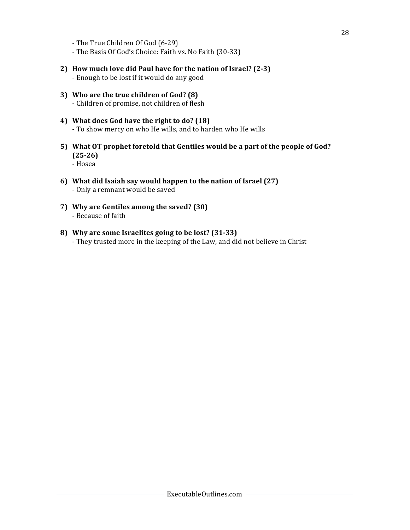- The True Children Of God (6-29)
- The Basis Of God's Choice: Faith vs. No Faith (30-33)
- **2) How much love did Paul have for the nation of Israel? (2-3)** - Enough to be lost if it would do any good
- **3)** Who are the true children of God? (8) - Children of promise, not children of flesh
- 4) What does God have the right to do? (18) - To show mercy on who He wills, and to harden who He wills
- 5) What OT prophet foretold that Gentiles would be a part of the people of God? **(25-26)** - Hosea
- **6) What did Isaiah say would happen to the nation of Israel (27)** - Only a remnant would be saved
- **7) Why are Gentiles among the saved? (30)** - Because of faith
- 8) Why are some Israelites going to be lost? (31-33) - They trusted more in the keeping of the Law, and did not believe in Christ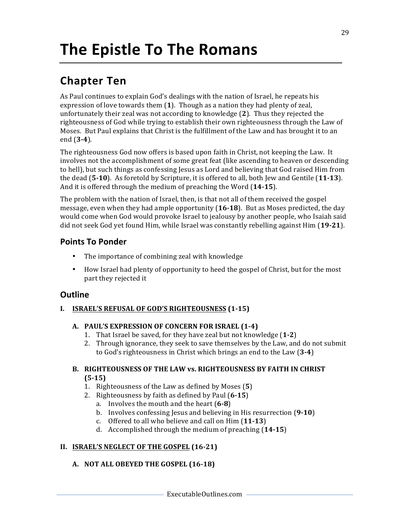# **The Epistle To The Romans**

### **Chapter Ten**

As Paul continues to explain God's dealings with the nation of Israel, he repeats his expression of love towards them  $(1)$ . Though as a nation they had plenty of zeal, unfortunately their zeal was not according to knowledge (2). Thus they rejected the righteousness of God while trying to establish their own righteousness through the Law of Moses. But Paul explains that Christ is the fulfillment of the Law and has brought it to an end (**3-4**).

The righteousness God now offers is based upon faith in Christ, not keeping the Law. It involves not the accomplishment of some great feat (like ascending to heaven or descending to hell), but such things as confessing Jesus as Lord and believing that God raised Him from the dead  $(5-10)$ . As foretold by Scripture, it is offered to all, both Jew and Gentile  $(11-13)$ . And it is offered through the medium of preaching the Word (14-15).

The problem with the nation of Israel, then, is that not all of them received the gospel message, even when they had ample opportunity (**16-18**). But as Moses predicted, the day would come when God would provoke Israel to jealousy by another people, who Isaiah said did not seek God vet found Him, while Israel was constantly rebelling against Him (19-21).

#### **Points To Ponder**

- The importance of combining zeal with knowledge
- How Israel had plenty of opportunity to heed the gospel of Christ, but for the most part they rejected it

#### **Outline**

#### **I. ISRAEL'S REFUSAL OF GOD'S RIGHTEOUSNESS (1-15)**

#### A. PAUL'S EXPRESSION OF CONCERN FOR ISRAEL (1-4)

- 1. That Israel be saved, for they have zeal but not knowledge (1-2)
- 2. Through ignorance, they seek to save themselves by the Law, and do not submit to God's righteousness in Christ which brings an end to the Law (3-4)

#### **B.** RIGHTEOUSNESS OF THE LAW vs. RIGHTEOUSNESS BY FAITH IN CHRIST **(5-15)**

- 1. Righteousness of the Law as defined by Moses (5)
- 2. Righteousness by faith as defined by Paul (6-15)
	- a. Involves the mouth and the heart (6-8)
	- b. Involves confessing Jesus and believing in His resurrection (9-10)
	- c. Offered to all who believe and call on Him (11-13)
	- d. Accomplished through the medium of preaching (14-15)

#### **II. ISRAEL'S NEGLECT OF THE GOSPEL (16-21)**

#### **A. NOT ALL OBEYED THE GOSPEL (16-18)**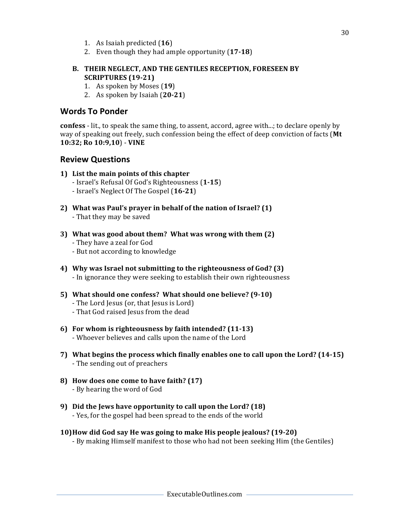- 1. As Isaiah predicted (**16**)
- 2. Even though they had ample opportunity (17-18)

#### **B. THEIR NEGLECT, AND THE GENTILES RECEPTION, FORESEEN BY SCRIPTURES (19-21)**

- 1. As spoken by Moses (19)
- 2. As spoken by Isaiah (**20-21**)

#### **Words To Ponder**

**confess** - lit., to speak the same thing, to assent, accord, agree with...; to declare openly by way of speaking out freely, such confession being the effect of deep conviction of facts (Mt **10:32; Ro 10:9,10**) - **VINE**

#### **Review Questions**

#### **1)** List the main points of this chapter

- Israel's Refusal Of God's Righteousness (**1-15**)
- Israel's Neglect Of The Gospel (**16-21**)
- **2)** What was Paul's prayer in behalf of the nation of Israel? (1) - That they may be saved
- **3)** What was good about them? What was wrong with them (2) - They have a zeal for God
	- But not according to knowledge
- 4) Why was Israel not submitting to the righteousness of God? (3) - In ignorance they were seeking to establish their own righteousness
- **5)** What should one confess? What should one believe? (9-10) - The Lord Jesus (or, that Jesus is Lord) - That God raised Jesus from the dead
- **6)** For whom is righteousness by faith intended? (11-13) - Whoever believes and calls upon the name of the Lord
- **7)** What begins the process which finally enables one to call upon the Lord? (14-15) - The sending out of preachers
- **8) How does one come to have faith? (17)** - By hearing the word of God
- **9)** Did the Jews have opportunity to call upon the Lord? (18) - Yes, for the gospel had been spread to the ends of the world
- **10)How did God say He was going to make His people jealous? (19-20)** - By making Himself manifest to those who had not been seeking Him (the Gentiles)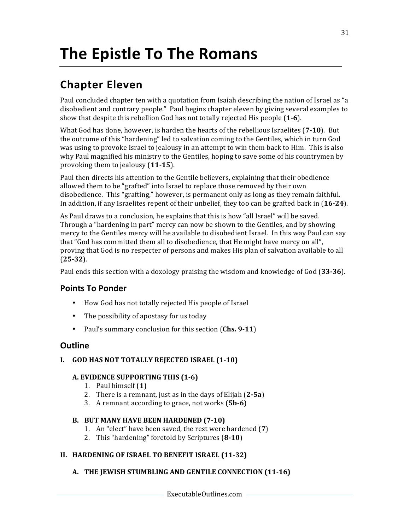# **The Epistle To The Romans**

### **Chapter Eleven**

Paul concluded chapter ten with a quotation from Isaiah describing the nation of Israel as "a disobedient and contrary people." Paul begins chapter eleven by giving several examples to show that despite this rebellion God has not totally rejected His people (1-6).

What God has done, however, is harden the hearts of the rebellious Israelites (7-10). But the outcome of this "hardening" led to salvation coming to the Gentiles, which in turn God was using to provoke Israel to jealousy in an attempt to win them back to Him. This is also why Paul magnified his ministry to the Gentiles, hoping to save some of his countrymen by provoking them to jealousy (11-15).

Paul then directs his attention to the Gentile believers, explaining that their obedience allowed them to be "grafted" into Israel to replace those removed by their own disobedience. This "grafting," however, is permanent only as long as they remain faithful. In addition, if any Israelites repent of their unbelief, they too can be grafted back in (16-24).

As Paul draws to a conclusion, he explains that this is how "all Israel" will be saved. Through a "hardening in part" mercy can now be shown to the Gentiles, and by showing mercy to the Gentiles mercy will be available to disobedient Israel. In this way Paul can say that "God has committed them all to disobedience, that He might have mercy on all", proving that God is no respecter of persons and makes His plan of salvation available to all (**25-32**). 

Paul ends this section with a doxology praising the wisdom and knowledge of God (33-36).

#### **Points To Ponder**

- How God has not totally rejected His people of Israel
- The possibility of apostasy for us today
- Paul's summary conclusion for this section (Chs. 9-11)

#### **Outline**

#### **I.** GOD HAS NOT TOTALLY REJECTED ISRAEL (1-10)

#### **A. EVIDENCE SUPPORTING THIS (1-6)**

- 1. Paul himself (1)
- 2. There is a remnant, just as in the days of Elijah  $(2-5a)$
- 3. A remnant according to grace, not works (5b-6)

#### **B.** BUT MANY HAVE BEEN HARDENED (7-10)

- 1. An "elect" have been saved, the rest were hardened (7)
- 2. This "hardening" foretold by Scriptures (8-10)

#### **II. HARDENING OF ISRAEL TO BENEFIT ISRAEL (11-32)**

#### A. THE JEWISH STUMBLING AND GENTILE CONNECTION (11-16)

31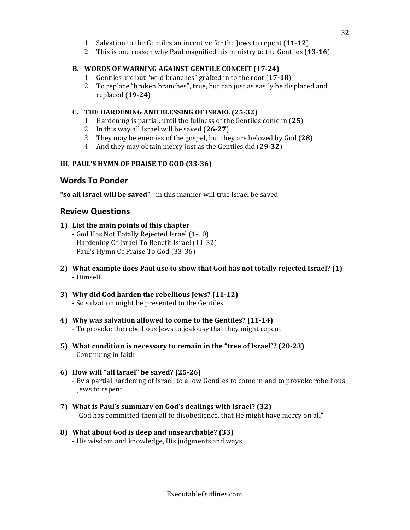- 1. Salvation to the Gentiles an incentive for the Jews to repent (11-12)
- 2. This is one reason why Paul magnified his ministry to the Gentiles (13-16)

#### B. WORDS OF WARNING AGAINST GENTILE CONCEIT (17-24)

- 1. Gentiles are but "wild branches" grafted in to the root (17-18)
- 2. To replace "broken branches", true, but can just as easily be displaced and replaced (**19-24**)

#### **C.** THE HARDENING AND BLESSING OF ISRAEL (25-32)

- 1. Hardening is partial, until the fullness of the Gentiles come in (25)
- 2. In this way all Israel will be saved (26-27)
- 3. They may be enemies of the gospel, but they are beloved by God (28)
- 4. And they may obtain mercy just as the Gentiles did (29-32)

#### **III. PAUL'S HYMN OF PRAISE TO GOD (33-36)**

#### **Words To Ponder**

"so all Israel will be saved" - in this manner will true Israel be saved

#### **Review Questions**

- **1)** List the main points of this chapter
	- God Has Not Totally Rejected Israel (1-10)
	- Hardening Of Israel To Benefit Israel (11-32)
	- Paul's Hymn Of Praise To God (33-36)
- **2)** What example does Paul use to show that God has not totally rejected Israel? (1) - Himself
- **3) Why did God harden the rebellious Jews? (11-12)** - So salvation might be presented to the Gentiles
- 4) Why was salvation allowed to come to the Gentiles? (11-14) - To provoke the rebellious Jews to jealousy that they might repent
- **5)** What condition is necessary to remain in the "tree of Israel"? (20-23) - Continuing in faith

#### **6) How will "all Israel" be saved? (25-26)**

- By a partial hardening of Israel, to allow Gentiles to come in and to provoke rebellious Jews to repent

- **7)** What is Paul's summary on God's dealings with Israel? (32) - "God has committed them all to disobedience, that He might have mercy on all"
- **8) What about God is deep and unsearchable? (33)** - His wisdom and knowledge, His judgments and ways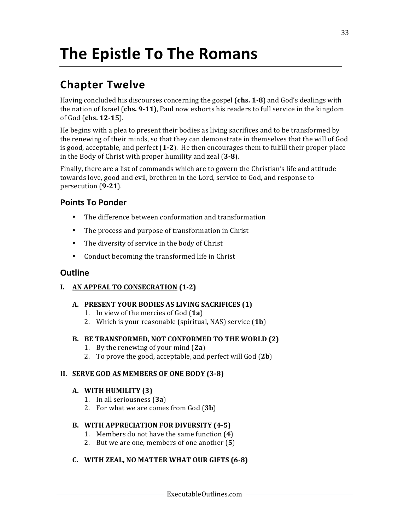# **The Epistle To The Romans**

### **Chapter Twelve**

Having concluded his discourses concerning the gospel (chs. 1-8) and God's dealings with the nation of Israel (chs. 9-11), Paul now exhorts his readers to full service in the kingdom of God (chs. 12-15).

He begins with a plea to present their bodies as living sacrifices and to be transformed by the renewing of their minds, so that they can demonstrate in themselves that the will of God is good, acceptable, and perfect  $(1-2)$ . He then encourages them to fulfill their proper place in the Body of Christ with proper humility and zeal (3-8).

Finally, there are a list of commands which are to govern the Christian's life and attitude towards love, good and evil, brethren in the Lord, service to God, and response to persecution (**9-21**).

#### **Points To Ponder**

- The difference between conformation and transformation
- The process and purpose of transformation in Christ
- The diversity of service in the body of Christ
- Conduct becoming the transformed life in Christ

#### **Outline**

#### **I. AN APPEAL TO CONSECRATION (1-2)**

#### A. **PRESENT YOUR BODIES AS LIVING SACRIFICES (1)**

- 1. In view of the mercies of God (1a)
- 2. Which is your reasonable (spiritual, NAS) service (**1b**)

#### B. BE TRANSFORMED, NOT CONFORMED TO THE WORLD (2)

- 1. By the renewing of your mind (2a)
- 2. To prove the good, acceptable, and perfect will  $God (2b)$

#### **II. SERVE GOD AS MEMBERS OF ONE BODY** (3-8)

#### A. WITH HUMILITY (3)

- 1. In all seriousness (**3a**)
- 2. For what we are comes from God (3b)

#### **B. WITH APPRECIATION FOR DIVERSITY (4-5)**

- 1. Members do not have the same function (4)
- 2. But we are one, members of one another (5)

#### **C. WITH ZEAL, NO MATTER WHAT OUR GIFTS (6-8)**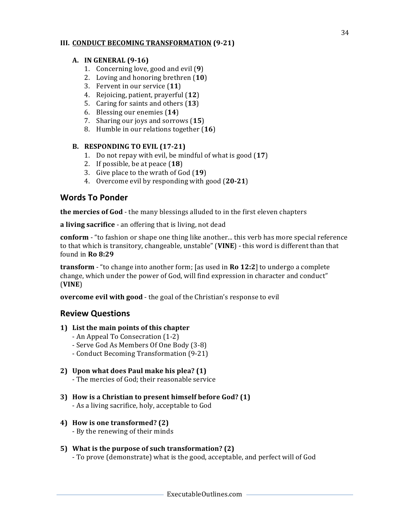#### **III. CONDUCT BECOMING TRANSFORMATION (9-21)**

#### **A. IN GENERAL (9-16)**

- 1. Concerning love, good and evil (9)
- 2. Loving and honoring brethren (10)
- 3. Fervent in our service (11)
- 4. Rejoicing, patient, prayerful (12)
- 5. Caring for saints and others (13)
- 6. Blessing our enemies (14)
- 7. Sharing our joys and sorrows (15)
- 8. Humble in our relations together (16)

#### **B.** RESPONDING TO EVIL (17-21)

- 1. Do not repay with evil, be mindful of what is good (17)
- 2. If possible, be at peace  $(18)$
- 3. Give place to the wrath of God (19)
- 4. Overcome evil by responding with good (20-21)

#### **Words To Ponder**

**the mercies of God** - the many blessings alluded to in the first eleven chapters

**a living sacrifice** - an offering that is living, not dead

**conform** - "to fashion or shape one thing like another... this verb has more special reference to that which is transitory, changeable, unstable" (VINE) - this word is different than that found in **Ro 8:29**

**transform** - "to change into another form; [as used in **Ro 12:2**] to undergo a complete change, which under the power of God, will find expression in character and conduct" (**VINE**)

**overcome evil with good** - the goal of the Christian's response to evil

#### **Review Questions**

- **1)** List the main points of this chapter
	- An Appeal To Consecration (1-2)
	- Serve God As Members Of One Body (3-8)
	- Conduct Becoming Transformation (9-21)
- **2) Upon what does Paul make his plea? (1)**

- The mercies of God; their reasonable service

- **3)** How is a Christian to present himself before God? (1) - As a living sacrifice, holy, acceptable to God
- **4) How is one transformed? (2)**
	- By the renewing of their minds

#### **5)** What is the purpose of such transformation? (2) - To prove (demonstrate) what is the good, acceptable, and perfect will of God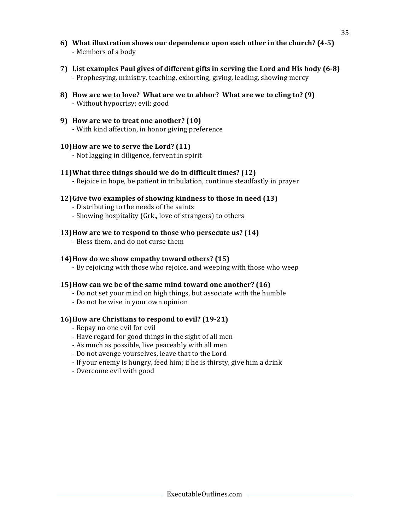- **6)** What illustration shows our dependence upon each other in the church? (4-5) - Members of a body
- **7)** List examples Paul gives of different gifts in serving the Lord and His body (6-8) - Prophesying, ministry, teaching, exhorting, giving, leading, showing mercy
- **8)** How are we to love? What are we to abhor? What are we to cling to? (9) - Without hypocrisy; evil; good
- **9) How are we to treat one another? (10)** - With kind affection, in honor giving preference

#### **10) How are we to serve the Lord? (11)**

- Not lagging in diligence, fervent in spirit

#### **11)** What three things should we do in difficult times? (12)

- Rejoice in hope, be patient in tribulation, continue steadfastly in prayer

#### **12)Give two examples of showing kindness to those in need (13)**

- Distributing to the needs of the saints
- Showing hospitality (Grk., love of strangers) to others

#### **13)How are we to respond to those who persecute us? (14)**

- Bless them, and do not curse them

#### **14)How do we show empathy toward others?** (15)

- By rejoicing with those who rejoice, and weeping with those who weep

#### **15)How can we be of the same mind toward one another?** (16)

- Do not set your mind on high things, but associate with the humble
- Do not be wise in your own opinion

#### **16) How are Christians to respond to evil? (19-21)**

- Repay no one evil for evil
- Have regard for good things in the sight of all men
- As much as possible, live peaceably with all men
- Do not avenge yourselves, leave that to the Lord
- If your enemy is hungry, feed him; if he is thirsty, give him a drink
- Overcome evil with good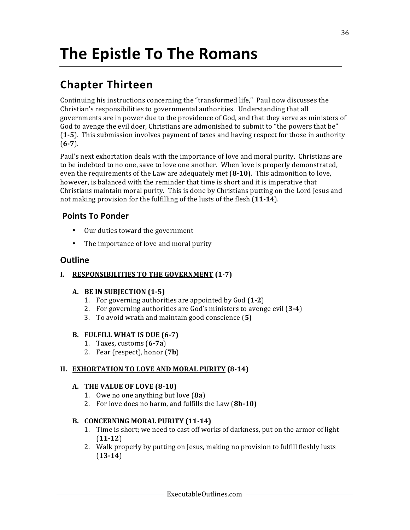# **The Epistle To The Romans**

### **Chapter Thirteen**

Continuing his instructions concerning the "transformed life," Paul now discusses the Christian's responsibilities to governmental authorities. Understanding that all governments are in power due to the providence of God, and that they serve as ministers of God to avenge the evil doer, Christians are admonished to submit to "the powers that be" **(1-5)**. This submission involves payment of taxes and having respect for those in authority (**6-7**).

Paul's next exhortation deals with the importance of love and moral purity. Christians are to be indebted to no one, save to love one another. When love is properly demonstrated, even the requirements of the Law are adequately met (8-10). This admonition to love, however, is balanced with the reminder that time is short and it is imperative that Christians maintain moral purity. This is done by Christians putting on the Lord Jesus and not making provision for the fulfilling of the lusts of the flesh (11-14).

#### **Points To Ponder**

- Our duties toward the government
- The importance of love and moral purity

#### **Outline**

#### **I.** RESPONSIBILITIES TO THE GOVERNMENT (1-7)

#### **A. BE** IN SUBJECTION (1-5)

- 1. For governing authorities are appointed by God (1-2)
- 2. For governing authorities are God's ministers to avenge evil (3-4)
- 3. To avoid wrath and maintain good conscience (**5**)

#### **B.** FULFILL WHAT IS DUE (6-7)

- 1. Taxes, customs (**6-7a**)
- 2. Fear (respect), honor (**7b**)

#### **II. EXHORTATION TO LOVE AND MORAL PURITY (8-14)**

#### **A.** THE VALUE OF LOVE (8-10)

- 1. Owe no one anything but love (**8a**)
- 2. For love does no harm, and fulfills the Law (8b-10)

#### **B. CONCERNING MORAL PURITY (11-14)**

- 1. Time is short; we need to cast off works of darkness, put on the armor of light (**11-12**)
- 2. Walk properly by putting on Jesus, making no provision to fulfill fleshly lusts (**13-14**)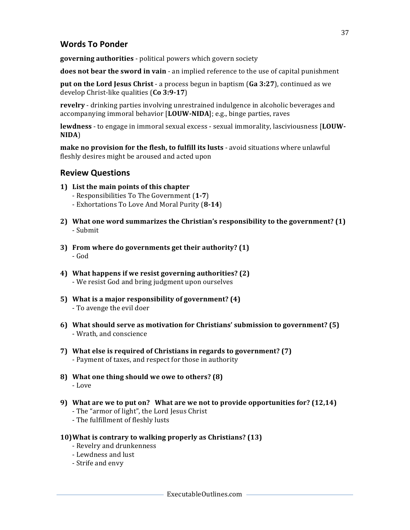#### **Words To Ponder**

**governing authorities** - political powers which govern society

**does not bear the sword in vain** - an implied reference to the use of capital punishment

**put on the Lord Jesus Christ** - a process begun in baptism (Ga 3:27), continued as we develop Christ-like qualities (Co 3:9-17)

**revelry** - drinking parties involving unrestrained indulgence in alcoholic beverages and accompanying immoral behavior [LOUW-NIDA]; e.g., binge parties, raves

**lewdness** - to engage in immoral sexual excess - sexual immorality, lasciviousness [LOUW-**NIDA**)

**make no provision for the flesh, to fulfill its lusts** - avoid situations where unlawful fleshly desires might be aroused and acted upon

#### **Review Questions**

- **1)** List the main points of this chapter
	- Responsibilities To The Government (**1-7**)
	- Exhortations To Love And Moral Purity (**8-14**)
- **2)** What one word summarizes the Christian's responsibility to the government? (1) - Submit
- **3)** From where do governments get their authority? (1) - God
- **4)** What happens if we resist governing authorities? (2) - We resist God and bring judgment upon ourselves
- **5)** What is a major responsibility of government? (4) - To avenge the evil doer
- **6) What should serve as motivation for Christians' submission to government? (5)** - Wrath, and conscience
- **7)** What else is required of Christians in regards to government? (7) - Payment of taxes, and respect for those in authority
- **8)** What one thing should we owe to others? (8) - Love
- **9)** What are we to put on? What are we not to provide opportunities for? (12,14) - The "armor of light", the Lord Jesus Christ
	- The fulfillment of fleshly lusts
- **10)** What is contrary to walking properly as Christians? (13)
	- Revelry and drunkenness
	- Lewdness and lust
	- Strife and envy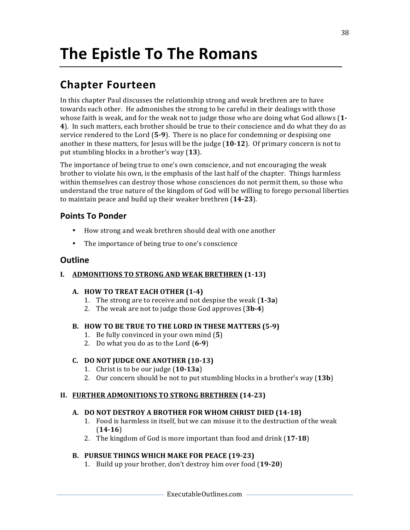### **Chapter Fourteen**

In this chapter Paul discusses the relationship strong and weak brethren are to have towards each other. He admonishes the strong to be careful in their dealings with those whose faith is weak, and for the weak not to judge those who are doing what God allows (1-**4**). In such matters, each brother should be true to their conscience and do what they do as service rendered to the Lord (5-9). There is no place for condemning or despising one another in these matters, for Jesus will be the judge  $(10-12)$ . Of primary concern is not to put stumbling blocks in a brother's way (13).

The importance of being true to one's own conscience, and not encouraging the weak brother to violate his own, is the emphasis of the last half of the chapter. Things harmless within themselves can destroy those whose consciences do not permit them, so those who understand the true nature of the kingdom of God will be willing to forego personal liberties to maintain peace and build up their weaker brethren (14-23).

#### **Points To Ponder**

- How strong and weak brethren should deal with one another
- The importance of being true to one's conscience

#### **Outline**

#### **I. ADMONITIONS TO STRONG AND WEAK BRETHREN** (1-13)

#### **A. HOW TO TREAT EACH OTHER (1-4)**

- 1. The strong are to receive and not despise the weak (1-3a)
- 2. The weak are not to judge those God approves (3b-4)

#### B. HOW TO BE TRUE TO THE LORD IN THESE MATTERS (5-9)

- 1. Be fully convinced in your own mind (5)
- 2. Do what you do as to the Lord (6-9)

#### **C. DO NOT JUDGE ONE ANOTHER (10-13)**

- 1. Christ is to be our judge  $(10-13a)$
- 2. Our concern should be not to put stumbling blocks in a brother's way  $(13b)$

#### **II. FURTHER ADMONITIONS TO STRONG BRETHREN (14-23)**

#### A. DO NOT DESTROY A BROTHER FOR WHOM CHRIST DIED (14-18)

- 1. Food is harmless in itself, but we can misuse it to the destruction of the weak (**14-16**)
- 2. The kingdom of God is more important than food and drink (17-18)

#### **B. PURSUE THINGS WHICH MAKE FOR PEACE (19-23)**

1. Build up your brother, don't destroy him over food (19-20)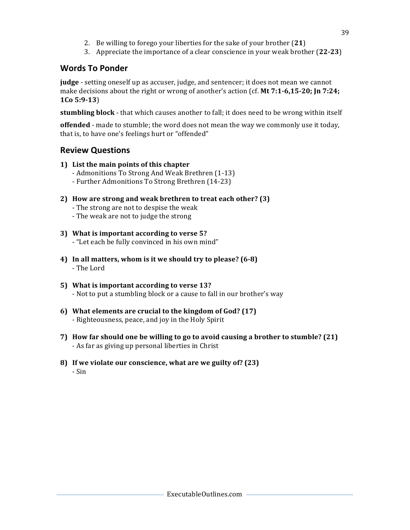- 2. Be willing to forego your liberties for the sake of your brother (21)
- 3. Appreciate the importance of a clear conscience in your weak brother (22-23)

#### **Words To Ponder**

**judge** - setting oneself up as accuser, judge, and sentencer; it does not mean we cannot make decisions about the right or wrong of another's action (cf. Mt 7:1-6,15-20; Jn 7:24; **1Co 5:9-13**)

**stumbling block** - that which causes another to fall; it does need to be wrong within itself

**offended** - made to stumble; the word does not mean the way we commonly use it today, that is, to have one's feelings hurt or "offended"

#### **Review Questions**

- **1)** List the main points of this chapter
	- Admonitions To Strong And Weak Brethren (1-13)
	- Further Admonitions To Strong Brethren (14-23)
- **2)** How are strong and weak brethren to treat each other? (3)
	- The strong are not to despise the weak
	- The weak are not to judge the strong
- **3)** What is important according to verse 5? - "Let each be fully convinced in his own mind"
- **4)** In all matters, whom is it we should try to please? (6-8) - The Lord
- **5)** What is important according to verse 13? - Not to put a stumbling block or a cause to fall in our brother's way
- **6)** What elements are crucial to the kingdom of God? (17) - Righteousness, peace, and joy in the Holy Spirit
- 7) How far should one be willing to go to avoid causing a brother to stumble? (21) - As far as giving up personal liberties in Christ
- **8)** If we violate our conscience, what are we guilty of? (23) - Sin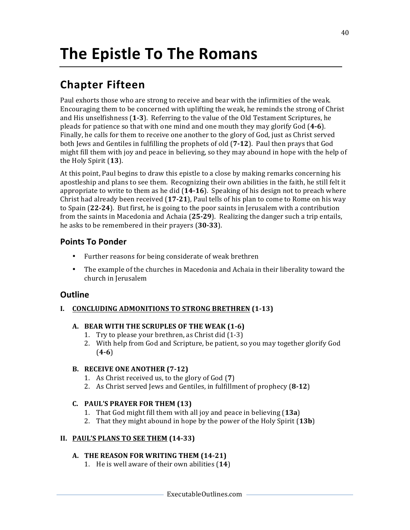### **Chapter Fifteen**

Paul exhorts those who are strong to receive and bear with the infirmities of the weak. Encouraging them to be concerned with uplifting the weak, he reminds the strong of Christ and His unselfishness (1-3). Referring to the value of the Old Testament Scriptures, he pleads for patience so that with one mind and one mouth they may glorify God (**4-6**). Finally, he calls for them to receive one another to the glory of God, just as Christ served both Jews and Gentiles in fulfilling the prophets of old (7-12). Paul then prays that God might fill them with joy and peace in believing, so they may abound in hope with the help of the Holy Spirit (13).

At this point, Paul begins to draw this epistle to a close by making remarks concerning his apostleship and plans to see them. Recognizing their own abilities in the faith, he still felt it appropriate to write to them as he did (14-16). Speaking of his design not to preach where Christ had already been received  $(17-21)$ , Paul tells of his plan to come to Rome on his way to Spain (22-24). But first, he is going to the poor saints in Jerusalem with a contribution from the saints in Macedonia and Achaia (25-29). Realizing the danger such a trip entails, he asks to be remembered in their prayers (30-33).

#### **Points To Ponder**

- Further reasons for being considerate of weak brethren
- The example of the churches in Macedonia and Achaia in their liberality toward the church in Jerusalem

#### **Outline**

#### **I.** CONCLUDING ADMONITIONS TO STRONG BRETHREN (1-13)

#### A. BEAR WITH THE SCRUPLES OF THE WEAK (1-6)

- 1. Try to please your brethren, as Christ did (1-3)
- 2. With help from God and Scripture, be patient, so you may together glorify God (**4-6**)

#### **B.** RECEIVE ONE ANOTHER (7-12)

- 1. As Christ received us, to the glory of God (7)
- 2. As Christ served Jews and Gentiles, in fulfillment of prophecy (8-12)

#### **C. PAUL'S PRAYER FOR THEM (13)**

- 1. That God might fill them with all joy and peace in believing (13a)
- 2. That they might abound in hope by the power of the Holy Spirit (13b)

#### **II. PAUL'S PLANS TO SEE THEM (14-33)**

#### A. THE REASON FOR WRITING THEM (14-21)

1. He is well aware of their own abilities (14)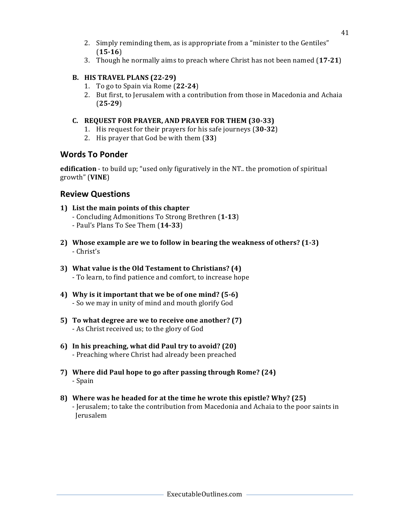- 2. Simply reminding them, as is appropriate from a "minister to the Gentiles" (**15-16**)
- 3. Though he normally aims to preach where Christ has not been named (17-21)

#### **B. HIS TRAVEL PLANS** (22-29)

- 1. To go to Spain via Rome (**22-24**)
- 2. But first, to Jerusalem with a contribution from those in Macedonia and Achaia (**25-29**)

#### **C. REQUEST FOR PRAYER, AND PRAYER FOR THEM (30-33)**

- 1. His request for their prayers for his safe journeys (30-32)
- 2. His prayer that God be with them (33)

#### **Words To Ponder**

**edification** - to build up; "used only figuratively in the NT.. the promotion of spiritual growth" (**VINE**)

#### **Review Questions**

- **1)** List the main points of this chapter - Concluding Admonitions To Strong Brethren (**1-13**) - Paul's Plans To See Them (**14-33**)
- 2) Whose example are we to follow in bearing the weakness of others? (1-3) - Christ's
- **3)** What value is the Old Testament to Christians? (4) - To learn, to find patience and comfort, to increase hope
- 4) Why is it important that we be of one mind? (5-6) - So we may in unity of mind and mouth glorify God
- **5)** To what degree are we to receive one another? (7) - As Christ received us; to the glory of God
- **6) In his preaching, what did Paul try to avoid? (20)** - Preaching where Christ had already been preached
- **7) Where did Paul hope to go after passing through Rome? (24)** - Spain
- 8) Where was he headed for at the time he wrote this epistle? Why? (25) - Jerusalem; to take the contribution from Macedonia and Achaia to the poor saints in Jerusalem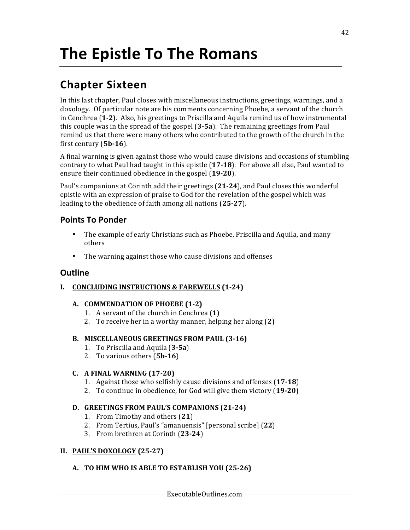### **Chapter Sixteen**

In this last chapter, Paul closes with miscellaneous instructions, greetings, warnings, and a doxology. Of particular note are his comments concerning Phoebe, a servant of the church in Cenchrea (1-2). Also, his greetings to Priscilla and Aquila remind us of how instrumental this couple was in the spread of the gospel (**3-5a**). The remaining greetings from Paul remind us that there were many others who contributed to the growth of the church in the first century (5b-16).

A final warning is given against those who would cause divisions and occasions of stumbling contrary to what Paul had taught in this epistle (17-18). For above all else, Paul wanted to ensure their continued obedience in the gospel (19-20).

Paul's companions at Corinth add their greetings (21-24), and Paul closes this wonderful epistle with an expression of praise to God for the revelation of the gospel which was leading to the obedience of faith among all nations (25-27).

#### **Points To Ponder**

- The example of early Christians such as Phoebe, Priscilla and Aquila, and many others
- The warning against those who cause divisions and offenses

#### **Outline**

**I.** CONCLUDING INSTRUCTIONS & FAREWELLS (1-24)

#### A. **COMMENDATION OF PHOEBE** (1-2)

- 1. A servant of the church in Cenchrea (1)
- 2. To receive her in a worthy manner, helping her along (2)

#### B. MISCELLANEOUS GREETINGS FROM PAUL (3-16)

- 1. To Priscilla and Aquila (**3-5a**)
- 2. To various others (5b-16)

#### **C. A FINAL WARNING (17-20)**

- 1. Against those who selfishly cause divisions and offenses (17-18)
- 2. To continue in obedience, for God will give them victory (**19-20**)

#### **D. GREETINGS FROM PAUL'S COMPANIONS (21-24)**

- 1. From Timothy and others (**21**)
- 2. From Tertius, Paul's "amanuensis" [personal scribe] (**22**)
- 3. From brethren at Corinth (**23-24**)

#### **II. PAUL'S DOXOLOGY (25-27)**

#### A. **TO HIM WHO IS ABLE TO ESTABLISH YOU** (25-26)